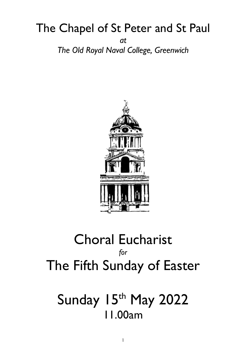## The Chapel of St Peter and St Paul *at The Old Royal Naval College, Greenwich*



## Choral Eucharist *for* The Fifth Sunday of Easter

# Sunday 15th May 2022 11.00am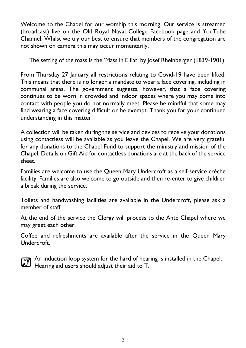Welcome to the Chapel for our worship this morning. Our service is streamed (broadcast) live on the Old Royal Naval College Facebook page and YouTube Channel. Whilst we try our best to ensure that members of the congregation are not shown on camera this may occur momentarily.

The setting of the mass is the 'Mass in E flat' by Josef Rheinberger (1839-1901).

From Thursday 27 January all restrictions relating to Covid-19 have been lifted. This means that there is no longer a mandate to wear a face covering, including in communal areas. The government suggests, however, that a face covering continues to be worn in crowded and indoor spaces where you may come into contact with people you do not normally meet. Please be mindful that some may find wearing a face covering difficult or be exempt. Thank you for your continued understanding in this matter.

A collection will be taken during the service and devices to receive your donations using contactless will be available as you leave the Chapel. We are very grateful for any donations to the Chapel Fund to support the ministry and mission of the Chapel. Details on Gift Aid for contactless donations are at the back of the service sheet.

Families are welcome to use the Queen Mary Undercroft as a self-service crèche facility. Families are also welcome to go outside and then re-enter to give children a break during the service.

Toilets and handwashing facilities are available in the Undercroft, please ask a member of staff.

At the end of the service the Clergy will process to the Ante Chapel where we may greet each other.

Coffee and refreshments are available after the service in the Queen Mary Undercroft.



An induction loop system for the hard of hearing is installed in the Chapel. An inquisibility system is a pair and to T.<br>Hearing aid users should adjust their aid to T.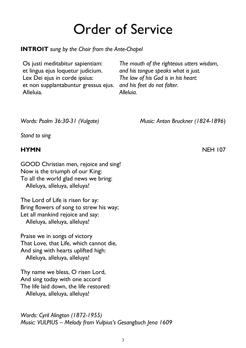# Order of Service

**INTROIT** *sung by the Choir from the Ante-Chapel*

Os justi meditabitur sapientiam: et lingua ejus loquetur judicium. Lex Dei ejus in corde ipsius: et non supplantabuntur gressus ejus. Alleluia.

*The mouth of the righteous utters wisdom, and his tongue speaks what is just. The law of his God is in his heart: and his feet do not falter. Alleluia.*

*Words: Psalm 36:30-31 (Vulgate) Music: Anton Bruckner (1824-1896*)

*Stand to sing*

GOOD Christian men, rejoice and sing! Now is the triumph of our King: To all the world glad news we bring: Alleluya, alleluya, alleluya!

The Lord of Life is risen for ay: Bring flowers of song to strew his way; Let all mankind rejoice and say: Alleluya, alleluya, alleluya!

Praise we in songs of victory That Love, that Life, which cannot die, And sing with hearts uplifted high: Alleluya, alleluya, alleluya!

Thy name we bless, O risen Lord, And sing today with one accord The life laid down, the life restored: Alleluya, alleluya, alleluya!

*Words: Cyril Alington (1872-1955) Music: VULPIUS – Melody from Vulpius's Gesangbuch Jena 1609*

**HYMN** NEH 107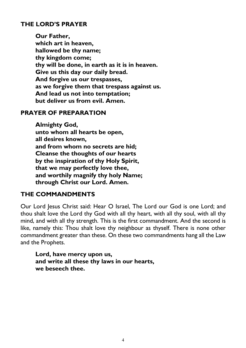#### **THE LORD'S PRAYER**

**Our Father, which art in heaven, hallowed be thy name; thy kingdom come; thy will be done, in earth as it is in heaven. Give us this day our daily bread. And forgive us our trespasses, as we forgive them that trespass against us. And lead us not into temptation; but deliver us from evil. Amen.**

#### **PRAYER OF PREPARATION**

**Almighty God, unto whom all hearts be open, all desires known, and from whom no secrets are hid; Cleanse the thoughts of our hearts by the inspiration of thy Holy Spirit, that we may perfectly love thee, and worthily magnify thy holy Name; through Christ our Lord. Amen.**

#### **THE COMMANDMENTS**

Our Lord Jesus Christ said: Hear O Israel, The Lord our God is one Lord; and thou shalt love the Lord thy God with all thy heart, with all thy soul, with all thy mind, and with all thy strength. This is the first commandment. And the second is like, namely this: Thou shalt love thy neighbour as thyself. There is none other commandment greater than these. On these two commandments hang all the Law and the Prophets.

**Lord, have mercy upon us, and write all these thy laws in our hearts, we beseech thee.**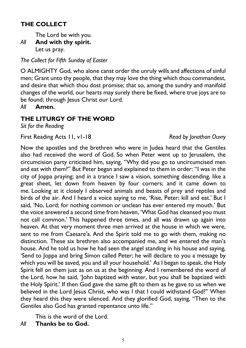### **THE COLLECT**

The Lord be with you.

*All* **And with thy spirit.** Let us pray.

*The Collect for Fifth Sunday of Easter*

O ALMIGHTY God, who alone canst order the unruly wills and affections of sinful men; Grant unto thy people, that they may love the thing which thou commandest, and desire that which thou dost promise; that so, among the sundry and manifold changes of the world, our hearts may surely there be fixed, where true joys are to be found; through Jesus Christ our Lord.

*All* **Amen.**

### **THE LITURGY OF THE WORD**

*Sit for the Reading*

First Reading Acts 11, v1-18 *Read by Jonathan Ouvry* 

Now the apostles and the brethren who were in Judea heard that the Gentiles also had received the word of God. So when Peter went up to Jerusalem, the circumcision party criticized him, saying, "Why did you go to uncircumcised men and eat with them?" But Peter began and explained to them in order: "I was in the city of Joppa praying; and in a trance I saw a vision, something descending, like a great sheet, let down from heaven by four corners; and it came down to me. Looking at it closely I observed animals and beasts of prey and reptiles and birds of the air. And I heard a voice saying to me, 'Rise, Peter; kill and eat.' But I said, 'No, Lord; for nothing common or unclean has ever entered my mouth.' But the voice answered a second time from heaven, 'What God has cleansed you must not call common.' This happened three times, and all was drawn up again into heaven. At that very moment three men arrived at the house in which we were, sent to me from Caesare′a. And the Spirit told me to go with them, making no distinction. These six brethren also accompanied me, and we entered the man's house. And he told us how he had seen the angel standing in his house and saying, 'Send to Joppa and bring Simon called Peter; he will declare to you a message by which you will be saved, you and all your household.' As I began to speak, the Holy Spirit fell on them just as on us at the beginning. And I remembered the word of the Lord, how he said, 'John baptized with water, but you shall be baptized with the Holy Spirit.' If then God gave the same gift to them as he gave to us when we believed in the Lord Jesus Christ, who was I that I could withstand God?" When they heard this they were silenced. And they glorified God, saying, "Then to the Gentiles also God has granted repentance unto life."

This is the word of the Lord.

*All* **Thanks be to God.**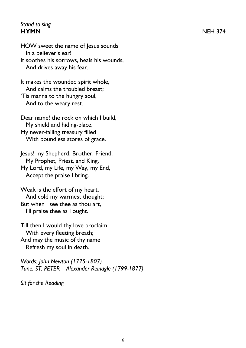#### *Stand to sing* **HYMN** NEH 374

HOW sweet the name of Jesus sounds In a believer's ear! It soothes his sorrows, heals his wounds, And drives away his fear.

It makes the wounded spirit whole, And calms the troubled breast; 'Tis manna to the hungry soul, And to the weary rest.

Dear name! the rock on which I build, My shield and hiding-place, My never-failing treasury filled With boundless stores of grace.

Jesus! my Shepherd, Brother, Friend, My Prophet, Priest, and King, My Lord, my Life, my Way, my End, Accept the praise I bring.

Weak is the effort of my heart, And cold my warmest thought; But when I see thee as thou art, I'll praise thee as I ought.

Till then I would thy love proclaim With every fleeting breath; And may the music of thy name Refresh my soul in death.

*Words: John Newton (1725-1807) Tune: ST. PETER – Alexander Reinagle (1799-1877)*

*Sit for the Reading*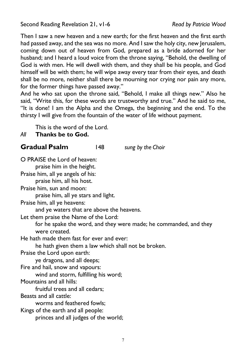Second Reading Revelation 21, v1-6 *Read by Patricia Wood*

Then I saw a new heaven and a new earth; for the first heaven and the first earth had passed away, and the sea was no more. And I saw the holy city, new Jerusalem, coming down out of heaven from God, prepared as a bride adorned for her husband; and I heard a loud voice from the throne saying, "Behold, the dwelling of God is with men. He will dwell with them, and they shall be his people, and God himself will be with them; he will wipe away every tear from their eyes, and death shall be no more, neither shall there be mourning nor crying nor pain any more, for the former things have passed away."

And he who sat upon the throne said, "Behold, I make all things new." Also he said, "Write this, for these words are trustworthy and true." And he said to me, "It is done! I am the Alpha and the Omega, the beginning and the end. To the thirsty I will give from the fountain of the water of life without payment.

This is the word of the Lord.

#### *All* **Thanks be to God.**

#### **Gradual Psalm** 148 *sung by the Choir*

O PRAISE the Lord of heaven: praise him in the height. Praise him, all ye angels of his: praise him, all his host. Praise him, sun and moon: praise him, all ye stars and light. Praise him, all ye heavens: and ye waters that are above the heavens. Let them praise the Name of the Lord: for he spake the word, and they were made; he commanded, and they were created. He hath made them fast for ever and ever: he hath given them a law which shall not be broken. Praise the Lord upon earth: ye dragons, and all deeps; Fire and hail, snow and vapours: wind and storm, fulfilling his word; Mountains and all hills: fruitful trees and all cedars; Beasts and all cattle: worms and feathered fowls; Kings of the earth and all people: princes and all judges of the world;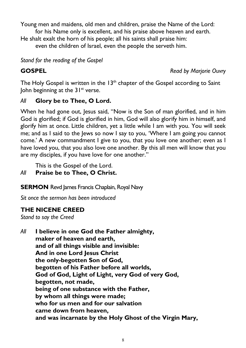Young men and maidens, old men and children, praise the Name of the Lord:

for his Name only is excellent, and his praise above heaven and earth.

He shalt exalt the horn of his people; all his saints shall praise him:

even the children of Israel, even the people the serveth him.

*Stand for the reading of the Gospel*

**GOSPEL** *Read by Marjorie Ouvry*

The Holy Gospel is written in the  $13<sup>th</sup>$  chapter of the Gospel according to Saint John beginning at the  $31^{st}$  verse.

#### *All* **Glory be to Thee, O Lord.**

When he had gone out, Jesus said, "Now is the Son of man glorified, and in him God is glorified; if God is glorified in him, God will also glorify him in himself, and glorify him at once. Little children, yet a little while I am with you. You will seek me; and as I said to the Jews so now I say to you, 'Where I am going you cannot come.' A new commandment I give to you, that you love one another; even as I have loved you, that you also love one another. By this all men will know that you are my disciples, if you have love for one another."

This is the Gospel of the Lord.

#### *All* **Praise be to Thee, O Christ.**

**SERMON** Revd James Francis Chaplain, Royal Navy

*Sit once the sermon has been introduced*

#### **THE NICENE CREED**

*Stand to say the Creed*

*All* **I believe in one God the Father almighty, maker of heaven and earth, and of all things visible and invisible: And in one Lord Jesus Christ the only-begotten Son of God, begotten of his Father before all worlds, God of God, Light of Light, very God of very God, begotten, not made, being of one substance with the Father, by whom all things were made; who for us men and for our salvation came down from heaven, and was incarnate by the Holy Ghost of the Virgin Mary,**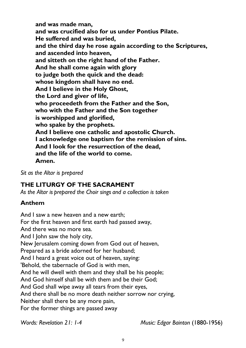**and was made man, and was crucified also for us under Pontius Pilate. He suffered and was buried, and the third day he rose again according to the Scriptures, and ascended into heaven, and sitteth on the right hand of the Father. And he shall come again with glory to judge both the quick and the dead: whose kingdom shall have no end. And I believe in the Holy Ghost, the Lord and giver of life, who proceedeth from the Father and the Son, who with the Father and the Son together is worshipped and glorified, who spake by the prophets. And I believe one catholic and apostolic Church. I acknowledge one baptism for the remission of sins. And I look for the resurrection of the dead, and the life of the world to come. Amen.**

*Sit as the Altar is prepared*

#### **THE LITURGY OF THE SACRAMENT**

*As the Altar is prepared the Choir sings and a collection is taken*

#### **Anthem**

And I saw a new heaven and a new earth; For the first heaven and first earth had passed away, And there was no more sea. And I John saw the holy city, New Jerusalem coming down from God out of heaven, Prepared as a bride adorned for her husband; And I heard a great voice out of heaven, saying: 'Behold, the tabernacle of God is with men, And he will dwell with them and they shall be his people; And God himself shall be with them and be their God; And God shall wipe away all tears from their eyes, And there shall be no more death neither sorrow nor crying, Neither shall there be any more pain, For the former things are passed away

*Words: Revelation 21: 1-4 Music: Edgar Bainton* (1880-1956)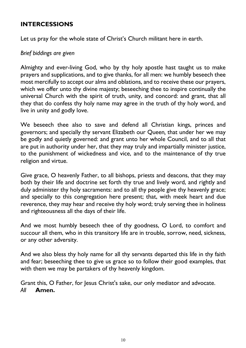#### **INTERCESSIONS**

Let us pray for the whole state of Christ's Church militant here in earth.

#### *Brief biddings are given*

Almighty and ever-living God, who by thy holy apostle hast taught us to make prayers and supplications, and to give thanks, for all men: we humbly beseech thee most mercifully to accept our alms and oblations, and to receive these our prayers, which we offer unto thy divine majesty; beseeching thee to inspire continually the universal Church with the spirit of truth, unity, and concord: and grant, that all they that do confess thy holy name may agree in the truth of thy holy word, and live in unity and godly love.

We beseech thee also to save and defend all Christian kings, princes and governors; and specially thy servant Elizabeth our Queen*,* that under her we may be godly and quietly governed: and grant unto her whole Council, and to all that are put in authority under her, that they may truly and impartially minister justice, to the punishment of wickedness and vice, and to the maintenance of thy true religion and virtue.

Give grace, O heavenly Father, to all bishops, priests and deacons, that they may both by their life and doctrine set forth thy true and lively word, and rightly and duly administer thy holy sacraments: and to all thy people give thy heavenly grace; and specially to this congregation here present; that, with meek heart and due reverence, they may hear and receive thy holy word; truly serving thee in holiness and righteousness all the days of their life.

And we most humbly beseech thee of thy goodness, O Lord, to comfort and succour all them, who in this transitory life are in trouble, sorrow, need, sickness, or any other adversity.

And we also bless thy holy name for all thy servants departed this life in thy faith and fear; beseeching thee to give us grace so to follow their good examples, that with them we may be partakers of thy heavenly kingdom.

Grant this, O Father, for Jesus Christ's sake, our only mediator and advocate. *All* **Amen.**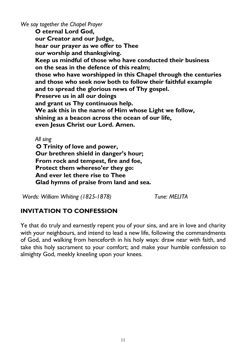*We say together the Chapel Prayer*

**O eternal Lord God, our Creator and our Judge, hear our prayer as we offer to Thee our worship and thanksgiving. Keep us mindful of those who have conducted their business on the seas in the defence of this realm; those who have worshipped in this Chapel through the centuries and those who seek now both to follow their faithful example and to spread the glorious news of Thy gospel. Preserve us in all our doings and grant us Thy continuous help. We ask this in the name of Him whose Light we follow, shining as a beacon across the ocean of our life, even Jesus Christ our Lord. Amen.**

*All sing*

 **O Trinity of love and power, Our brethren shield in danger's hour; From rock and tempest, fire and foe, Protect them whereso'er they go: And ever let there rise to Thee Glad hymns of praise from land and sea.**

*Words: William Whiting (1825-1878) Tune: MELITA*

#### **INVITATION TO CONFESSION**

Ye that do truly and earnestly repent you of your sins, and are in love and charity with your neighbours, and intend to lead a new life, following the commandments of God, and walking from henceforth in his holy ways: draw near with faith, and take this holy sacrament to your comfort; and make your humble confession to almighty God, meekly kneeling upon your knees.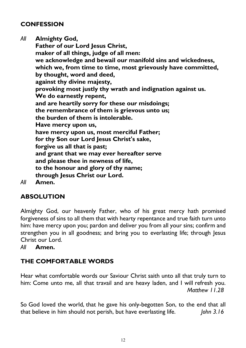#### **CONFESSION**

*All* **Almighty God, Father of our Lord Jesus Christ, maker of all things, judge of all men: we acknowledge and bewail our manifold sins and wickedness, which we, from time to time, most grievously have committed, by thought, word and deed, against thy divine majesty, provoking most justly thy wrath and indignation against us. We do earnestly repent, and are heartily sorry for these our misdoings; the remembrance of them is grievous unto us; the burden of them is intolerable. Have mercy upon us, have mercy upon us, most merciful Father; for thy Son our Lord Jesus Christ's sake, forgive us all that is past; and grant that we may ever hereafter serve and please thee in newness of life, to the honour and glory of thy name; through Jesus Christ our Lord.**

*All* **Amen.**

#### **ABSOLUTION**

Almighty God, our heavenly Father, who of his great mercy hath promised forgiveness of sins to all them that with hearty repentance and true faith turn unto him: have mercy upon you; pardon and deliver you from all your sins; confirm and strengthen you in all goodness; and bring you to everlasting life; through Jesus Christ our Lord.

*All* **Amen.**

#### **THE COMFORTABLE WORDS**

Hear what comfortable words our Saviour Christ saith unto all that truly turn to him: Come unto me, all that travail and are heavy laden, and I will refresh you. *Matthew 11.28*

So God loved the world, that he gave his only-begotten Son, to the end that all that believe in him should not perish, but have everlasting life. *John 3.16*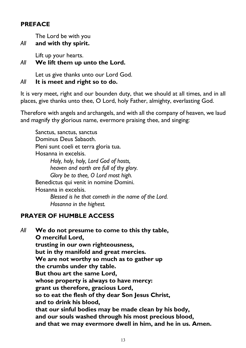#### **PREFACE**

The Lord be with you

*All* **and with thy spirit.**

Lift up your hearts.

#### *All* **We lift them up unto the Lord.**

Let us give thanks unto our Lord God.

#### *All* **It is meet and right so to do.**

It is very meet, right and our bounden duty, that we should at all times, and in all places, give thanks unto thee, O Lord, holy Father, almighty, everlasting God.

Therefore with angels and archangels, and with all the company of heaven, we laud and magnify thy glorious name, evermore praising thee, and singing:

Sanctus, sanctus, sanctus Dominus Deus Sabaoth. Pleni sunt coeli et terra gloria tua. Hosanna in excelsis. *Holy, holy, holy, Lord God of hosts, heaven and earth are full of thy glory. Glory be to thee, O Lord most high.* Benedictus qui venit in nomine Domini. Hosanna in excelsis. *Blessed is he that cometh in the name of the Lord. Hosanna in the highest.*

### **PRAYER OF HUMBLE ACCESS**

*All* **We do not presume to come to this thy table, O merciful Lord, trusting in our own righteousness, but in thy manifold and great mercies. We are not worthy so much as to gather up the crumbs under thy table. But thou art the same Lord, whose property is always to have mercy: grant us therefore, gracious Lord, so to eat the flesh of thy dear Son Jesus Christ, and to drink his blood, that our sinful bodies may be made clean by his body, and our souls washed through his most precious blood, and that we may evermore dwell in him, and he in us. Amen.**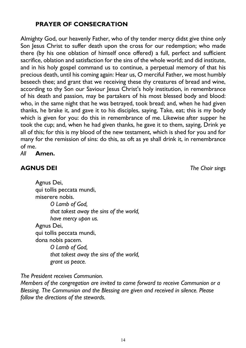14

### **PRAYER OF CONSECRATION**

Almighty God, our heavenly Father, who of thy tender mercy didst give thine only Son Jesus Christ to suffer death upon the cross for our redemption; who made there (by his one oblation of himself once offered) a full, perfect and sufficient sacrifice, oblation and satisfaction for the sins of the whole world; and did institute, and in his holy gospel command us to continue, a perpetual memory of that his precious death, until his coming again: Hear us, O merciful Father, we most humbly beseech thee; and grant that we receiving these thy creatures of bread and wine, according to thy Son our Saviour Jesus Christ's holy institution, in remembrance of his death and passion, may be partakers of his most blessed body and blood: who, in the same night that he was betrayed, took bread; and, when he had given thanks, he brake it, and gave it to his disciples, saying, Take, eat; this is my body which is given for you: do this in remembrance of me. Likewise after supper he took the cup; and, when he had given thanks, he gave it to them, saying, Drink ye all of this; for this is my blood of the new testament, which is shed for you and for many for the remission of sins: do this, as oft as ye shall drink it, in remembrance of me.

*All* **Amen.**

#### **AGNUS DEI** *The Choir sings*

Agnus Dei, qui tollis peccata mundi, miserere nobis. *O Lamb of God, that takest away the sins of the world, have mercy upon us.* Agnus Dei, qui tollis peccata mundi, dona nobis pacem. *O Lamb of God, that takest away the sins of the world, grant us peace.*

*The President receives Communion.*

*Members of the congregation are invited to come forward to receive Communion or a Blessing. The Communion and the Blessing are given and received in silence. Please follow the directions of the stewards.*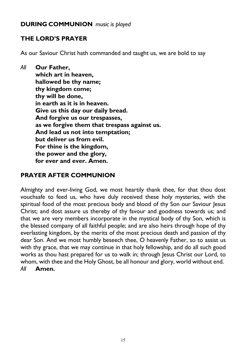#### **DURING COMMUNION** *music is played*

#### **THE LORD'S PRAYER**

As our Saviour Christ hath commanded and taught us, we are bold to say

*All* **Our Father, which art in heaven, hallowed be thy name; thy kingdom come; thy will be done, in earth as it is in heaven. Give us this day our daily bread. And forgive us our trespasses, as we forgive them that trespass against us. And lead us not into temptation; but deliver us from evil. For thine is the kingdom, the power and the glory, for ever and ever. Amen.**

#### **PRAYER AFTER COMMUNION**

Almighty and ever-living God, we most heartily thank thee, for that thou dost vouchsafe to feed us, who have duly received these holy mysteries, with the spiritual food of the most precious body and blood of thy Son our Saviour Jesus Christ; and dost assure us thereby of thy favour and goodness towards us; and that we are very members incorporate in the mystical body of thy Son, which is the blessed company of all faithful people; and are also heirs through hope of thy everlasting kingdom, by the merits of the most precious death and passion of thy dear Son. And we most humbly beseech thee, O heavenly Father, so to assist us with thy grace, that we may continue in that holy fellowship, and do all such good works as thou hast prepared for us to walk in; through Jesus Christ our Lord, to whom, with thee and the Holy Ghost, be all honour and glory, world without end. *All* **Amen.**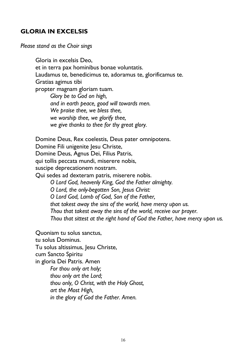#### **GLORIA IN EXCELSIS**

*Please stand as the Choir sings*

Gloria in excelsis Deo, et in terra pax hominibus bonae voluntatis. Laudamus te, benedicimus te, adoramus te, glorificamus te. Gratias agimus tibi propter magnam gloriam tuam. *Glory be to God on high, and in earth peace, good will towards men. We praise thee, we bless thee, we worship thee, we glorify thee, we give thanks to thee for thy great glory.* Domine Deus, Rex coelestis, Deus pater omnipotens. Domine Fili unigenite Jesu Christe, Domine Deus, Agnus Dei, Filius Patris, qui tollis peccata mundi, miserere nobis, suscipe deprecationem nostram. Qui sedes ad dexteram patris, miserere nobis. *O Lord God, heavenly King, God the Father almighty. O Lord, the only-begotten Son, Jesus Christ: O Lord God, Lamb of God, Son of the Father, that takest away the sins of the world, have mercy upon us. Thou that takest away the sins of the world, receive our prayer. Thou that sittest at the right hand of God the Father, have mercy upon us.* Quoniam tu solus sanctus, tu solus Dominus. Tu solus altissimus, Jesu Christe, cum Sancto Spiritu in gloria Dei Patris. Amen

*For thou only art holy; thou only art the Lord; thou only, O Christ, with the Holy Ghost, art the Most High, in the glory of God the Father. Amen.*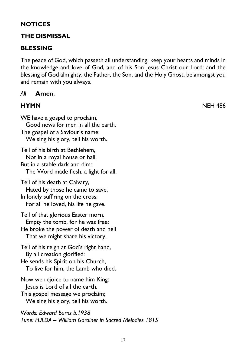#### **NOTICES**

#### **THE DISMISSAL**

#### **BLESSING**

The peace of God, which passeth all understanding, keep your hearts and minds in the knowledge and love of God, and of his Son Jesus Christ our Lord: and the blessing of God almighty, the Father, the Son, and the Holy Ghost, be amongst you and remain with you always.

#### *All* **Amen.**

**HYMN** NEH 486

WE have a gospel to proclaim, Good news for men in all the earth, The gospel of a Saviour's name: We sing his glory, tell his worth. Tell of his birth at Bethlehem, Not in a royal house or hall, But in a stable dark and dim: The Word made flesh, a light for all. Tell of his death at Calvary, Hated by those he came to save, In lonely suff'ring on the cross: For all he loved, his life he gave. Tell of that glorious Easter morn, Empty the tomb, for he was free:

He broke the power of death and hell That we might share his victory.

Tell of his reign at God's right hand, By all creation glorified:

He sends his Spirit on his Church, To live for him, the Lamb who died.

Now we rejoice to name him King: Jesus is Lord of all the earth.

This gospel message we proclaim; We sing his glory, tell his worth.

*Words: Edward Burns b.1938 Tune: FULDA – William Gardiner in Sacred Melodies 1815*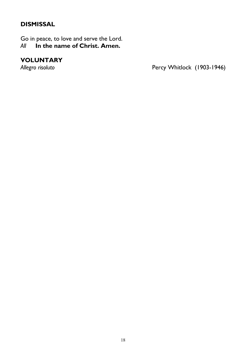#### **DISMISSAL**

Go in peace, to love and serve the Lord.<br>All **In the name of Christ. Amen.** *All* **In the name of Christ. Amen.**

# **VOLUNTARY**

Percy Whitlock (1903-1946)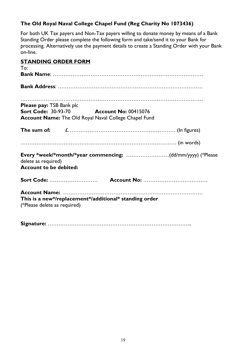#### **The Old Royal Naval College Chapel Fund (Reg Charity No 1073436)**

For both UK Tax payers and Non-Tax payers willing to donate money by means of a Bank Standing Order please complete the following form and take/send it to your Bank for processing. Alternatively use the payment details to create a Standing Order with your Bank on-line.

| <b>STANDING ORDER FORM</b>                           |                                                              |
|------------------------------------------------------|--------------------------------------------------------------|
| To:                                                  |                                                              |
|                                                      |                                                              |
|                                                      |                                                              |
|                                                      |                                                              |
| <b>Please pay: TSB Bank plc</b>                      |                                                              |
|                                                      | <b>Sort Code: 30-93-70 Account No: 00415076</b>              |
|                                                      | <b>Account Name:</b> The Old Royal Naval College Chapel Fund |
|                                                      |                                                              |
|                                                      |                                                              |
| delete as required)<br><b>Account to be debited:</b> | Every *week/*month/*year commencing: (dd/mm/yyyy) (*Please   |
|                                                      |                                                              |
|                                                      |                                                              |
|                                                      | This is a new*/replacement*/additional* standing order       |
| (*Please delete as required)                         |                                                              |
|                                                      |                                                              |
|                                                      |                                                              |

19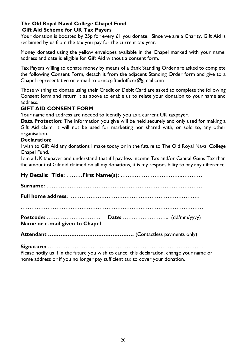#### **The Old Royal Naval College Chapel Fund Gift Aid Scheme for UK Tax Payers**

Your donation is boosted by 25p for every  $\pounds 1$  you donate. Since we are a Charity, Gift Aid is reclaimed by us from the tax you pay for the current tax year.

Money donated using the yellow envelopes available in the Chapel marked with your name, address and date is eligible for Gift Aid without a consent form.

Tax Payers willing to donate money by means of a Bank Standing Order are asked to complete the following Consent Form, detach it from the adjacent Standing Order form and give to a Chapel representative or e-mail to ornccgiftaidofficer@gmail.com

Those wishing to donate using their Credit or Debit Card are asked to complete the following Consent form and return it as above to enable us to relate your donation to your name and address.

#### **GIFT AID CONSENT FORM**

Your name and address are needed to identify you as a current UK taxpayer.

**Data Protection**: The information you give will be held securely and only used for making a Gift Aid claim. It will not be used for marketing nor shared with, or sold to, any other organisation.

#### **Declaration:**

I wish to Gift Aid any donations I make today or in the future to The Old Royal Naval College Chapel Fund.

I am a UK taxpayer and understand that if I pay less Income Tax and/or Capital Gains Tax than the amount of Gift aid claimed on all my donations, it is my responsibility to pay any difference.

| Name or e-mail given to Chapel |  |  |
|--------------------------------|--|--|
|                                |  |  |

**Signature:** ……………………………………………………………………………

Please notify us if in the future you wish to cancel this declaration, change your name or home address or if you no longer pay sufficient tax to cover your donation.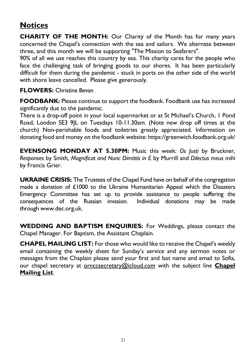## **Notices**

**CHARITY OF THE MONTH:** Our Charity of the Month has for many years concerned the Chapel's connection with the sea and sailors. We alternate between three, and this month we will be supporting "The Mission to Seafarers".

90% of all we use reaches this country by sea. This charity cares for the people who face the challenging task of bringing goods to our shores. It has been particularly difficult for them during the pandemic - stuck in ports on the other side of the world with shore leave cancelled. Please give generously.

#### **FLOWERS:** Christine Bevan

**FOODBANK:** Please continue to support the foodbank. Foodbank use has increased significantly due to the pandemic.

There is a drop-off point in your local supermarket or at St Michael's Church, 1 Pond Road, London SE3 9JL on Tuesdays 10-11.30am. (Note new drop off times at the church) Non-perishable foods and toiletries greatly appreciated. Information on donating food and money on the foodbank website: https://greenwich.foodbank.org.uk/

**EVENSONG MONDAY AT 5.30PM:** Music this week: *Os Justi* by Bruckner*, Responses* by Smith*, Magnificat and Nunc Dimittis in E* by Murrill and *Dilectus meus mihi* by Francis Grier.

**UKRAINE CRISIS:** The Trustees of the Chapel Fund have on behalf of the congregation made a donation of £1000 to the Ukraine Humanitarian Appeal which the Disasters Emergency Committee has set up to provide assistance to people suffering the consequences of the Russian invasion. Individual donations may be made through www.dec.org.uk.

**WEDDING AND BAPTISM ENQUIRIES:** For Weddings, please contact the Chapel Manager. For Baptism, the Assistant Chaplain.

**CHAPEL MAILING LIST:** For those who would like to receive the Chapel's weekly email containing the weekly sheet for Sunday's service and any sermon notes or messages from the Chaplain please send your first and last name and email to Sofia, our chapel secretary at ornccsecretary@icloud.com with the subject line **Chapel Mailing List**.